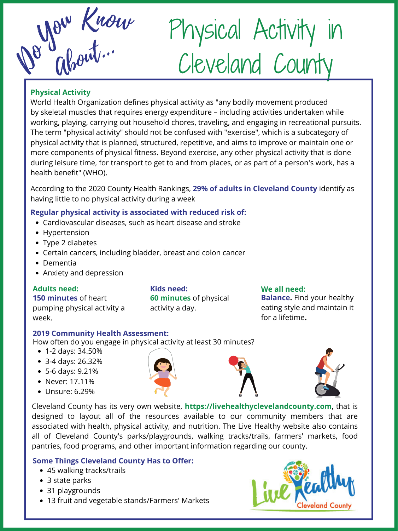Ab De Wout.

# Physical Activity in Cleveland County

- Cardiovascular diseases, such as heart disease and stroke
- Hypertension
- Type 2 diabetes
- Certain cancers, including bladder, breast and colon cancer
- Dementia
- Anxiety and depression

#### **Regular physical activity is associated with reduced risk of:**

According to the 2020 County Health Rankings, **29% of adults in Cleveland County** identify as having little to no physical activity during a week

**Adults need: 150 minutes** of heart pumping physical activity a week.

**Kids need: 60 minutes** of physical activity a day.

**We all need: Balance.** Find your healthy eating style and maintain it for a lifetime**.**

- 45 walking tracks/trails
- 3 state parks
- 31 playgrounds
- 13 fruit and vegetable stands/Farmers' Markets



Cleveland County has its very own website, **https://livehealthyclevelandcounty.com**, that is designed to layout all of the resources available to our community members that are associated with health, physical activity, and nutrition. The Live Healthy website also contains all of Cleveland County's parks/playgrounds, walking tracks/trails, farmers' markets, food pantries, food programs, and other important information regarding our county.

# **Some Things Cleveland County Has to Offer:**

World Health Organization defines physical activity as "any bodily movement produced by skeletal muscles that requires energy expenditure – including activities undertaken while working, playing, carrying out household chores, traveling, and engaging in recreational pursuits. The term "physical activity" should not be confused with "exercise" , which is a subcategory of physical activity that is planned, structured, repetitive, and aims to improve or maintain one or more components of physical fitness. Beyond exercise, any other physical activity that is done during leisure time, for transport to get to and from places, or as part of a person's work, has a health benefit" (WHO).

# **Physical Activity**

#### **2019 Community Health Assessment:**

How often do you engage in physical activity at least 30 minutes?

- 1-2 days: 34.50%
- 3-4 days: 26.32%
- 5-6 days: 9.21%
- Never: 17.11%
- Unsure: 6.29%